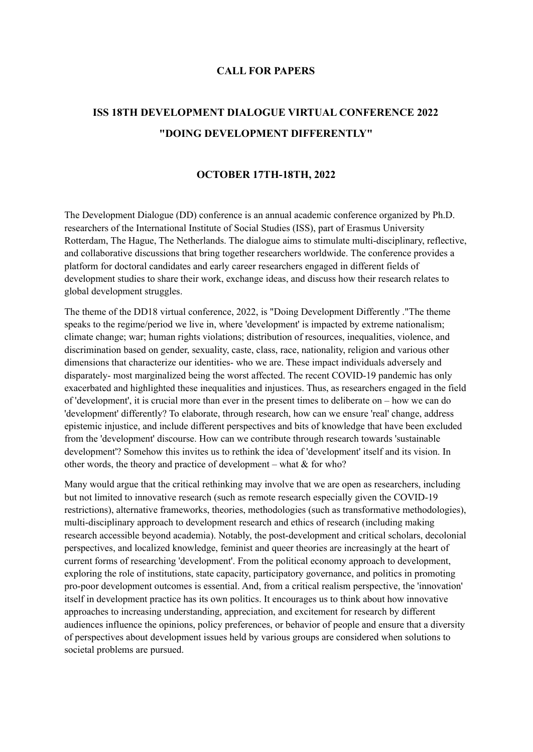## **CALL FOR PAPERS**

## **ISS 18TH DEVELOPMENT DIALOGUE VIRTUAL CONFERENCE 2022 "DOING DEVELOPMENT DIFFERENTLY"**

## **OCTOBER 17TH-18TH, 2022**

The Development Dialogue (DD) conference is an annual academic conference organized by Ph.D. researchers of the International Institute of Social Studies (ISS), part of Erasmus University Rotterdam, The Hague, The Netherlands. The dialogue aims to stimulate multi-disciplinary, reflective, and collaborative discussions that bring together researchers worldwide. The conference provides a platform for doctoral candidates and early career researchers engaged in different fields of development studies to share their work, exchange ideas, and discuss how their research relates to global development struggles.

The theme of the DD18 virtual conference, 2022, is "Doing Development Differently ."The theme speaks to the regime/period we live in, where 'development' is impacted by extreme nationalism; climate change; war; human rights violations; distribution of resources, inequalities, violence, and discrimination based on gender, sexuality, caste, class, race, nationality, religion and various other dimensions that characterize our identities- who we are. These impact individuals adversely and disparately- most marginalized being the worst affected. The recent COVID-19 pandemic has only exacerbated and highlighted these inequalities and injustices. Thus, as researchers engaged in the field of 'development', it is crucial more than ever in the present times to deliberate on – how we can do 'development' differently? To elaborate, through research, how can we ensure 'real' change, address epistemic injustice, and include different perspectives and bits of knowledge that have been excluded from the 'development' discourse. How can we contribute through research towards 'sustainable development'? Somehow this invites us to rethink the idea of 'development' itself and its vision. In other words, the theory and practice of development – what  $&$  for who?

Many would argue that the critical rethinking may involve that we are open as researchers, including but not limited to innovative research (such as remote research especially given the COVID-19 restrictions), alternative frameworks, theories, methodologies (such as transformative methodologies), multi-disciplinary approach to development research and ethics of research (including making research accessible beyond academia). Notably, the post-development and critical scholars, decolonial perspectives, and localized knowledge, feminist and queer theories are increasingly at the heart of current forms of researching 'development'. From the political economy approach to development, exploring the role of institutions, state capacity, participatory governance, and politics in promoting pro-poor development outcomes is essential. And, from a critical realism perspective, the 'innovation' itself in development practice has its own politics. It encourages us to think about how innovative approaches to increasing understanding, appreciation, and excitement for research by different audiences influence the opinions, policy preferences, or behavior of people and ensure that a diversity of perspectives about development issues held by various groups are considered when solutions to societal problems are pursued.